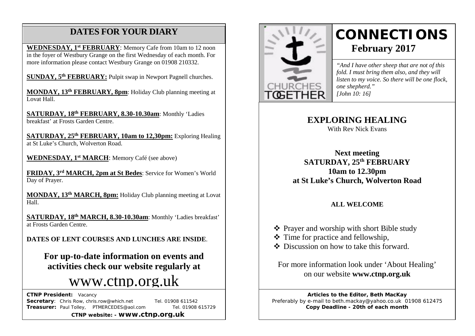# **DATES FOR YOUR DIARY**

**WEDNESDAY, 1st FEBRUARY**: Memory Cafe from 10am to 12 noon in the foyer of Westbury Grange on the first Wednesday of each month. For more information please contact Westbury Grange on 01908 210332.

**SUNDAY, 5th FEBRUARY:** Pulpit swap in Newport Pagnell churches.

 /AGM **MONDAY, 13th FEBRUARY, 8pm**: Holiday Club planning meeting at Lovat Hall.

**SATURDAY, 18th FEBRUARY, 8.30-10.30am**: Monthly 'Ladies breakfast' at Frosts Garden Centre.

**SATURDAY, 25th FEBRUARY, 10am to 12,30pm:** Exploring Healing at St Luke's Church, Wolverton Road.

**WEDNESDAY, 1st MARCH**: Memory Café (see above)

**FRIDAY, 3rd MARCH, 2pm at St Bedes**: Service for Women's World Day of Prayer.

**MONDAY, 13th MARCH, 8pm:** Holiday Club planning meeting at Lovat Hall.

**SATURDAY, 18th MARCH, 8.30-10.30am**: Monthly 'Ladies breakfast' at Frosts Garden Centre.

**DATES OF LENT COURSES AND LUNCHES ARE INSIDE**.

**For up-to-date information on events and activities check our website regularly at**

# [www.ctnp.org.uk](http://www.ctnp.org.uk/)

 **CTNP President:** Vacancy

**Secretary:** Chris Row, chris.row@which.net Tel. 01908 611542 **Treasurer:** Paul Tolley, PTMERCEDES@aol.com Tel. 01908 615729

**CTNP website: - www.ctnp.org.uk**



# **CONNECTIONS February 2017**

*"And I have other sheep that are not of this fold. I must bring them also, and they will listen to my voice. So there will be one flock, one shepherd." [John 10: 16]*

**EXPLORING HEALING**

With Rev Nick Evans

**Next meeting SATURDAY, 25th FEBRUARY 10am to 12.30pm at St Luke's Church, Wolverton Road**

#### **ALL WELCOME**

- Prayer and worship with short Bible study
- $\div$  Time for practice and fellowship,
- Discussion on how to take this forward.

For more information look under 'About Healing' on our website **www.ctnp.org.uk**

**Articles to the Editor, Beth MacKay** Preferably by e-mail to beth.mackay@yahoo.co.uk 01908 612475 **Copy Deadline - 20th of each month**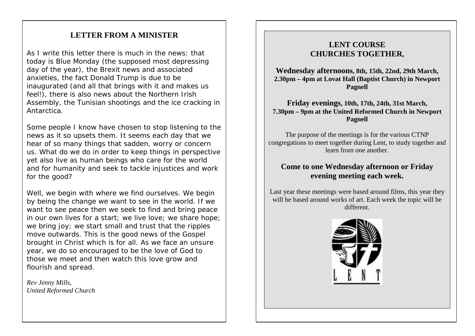## **LETTER FROM A MINISTER**

As I write this letter there is much in the news: that today is Blue Monday (the supposed most depressing day of the year), the Brexit news and associated anxieties, the fact Donald Trump is due to be inaugurated (and all that brings with it and makes us feel!), there is also news about the Northern Irish Assembly, the Tunisian shootings and the ice cracking in Antarctica.

Some people I know have chosen to stop listening to the news as it so upsets them. It seems each day that we hear of so many things that sadden, worry or concern us. What do we do in order to keep things in perspective yet also live as human beings who care for the world and for humanity and seek to tackle injustices and work for the good?

Well, we begin with where we find ourselves. We begin by being the change we want to see in the world. If we want to see peace then we seek to find and bring peace in our own lives for a start; we live love; we share hope; we bring joy; we start small and trust that the ripples move outwards. This is the good news of the Gospel brought in Christ which is for all. As we face an unsure year, we do so encouraged to be the love of God to those we meet and then watch this love grow and flourish and spread.

*Rev Jenny Mills, United Reformed Church*

#### **LENT COURSE CHURCHES TOGETHER,**

**Wednesday afternoons, 8th, 15th, 22nd, 29th March, 2.30pm – 4pm at Lovat Hall (Baptist Church) in Newport Pagnell**

**Friday evenings, 10th, 17th, 24th, 31st March, 7.30pm – 9pm at the United Reformed Church in Newport Pagnell**

The purpose of the meetings is for the various CTNP congregations to meet together during Lent, to study together and learn from one another.

### **Come to one Wednesday afternoon or Friday evening meeting each week.**

Last year these meetings were based around films, this year they will be based around works of art. Each week the topic will be different.

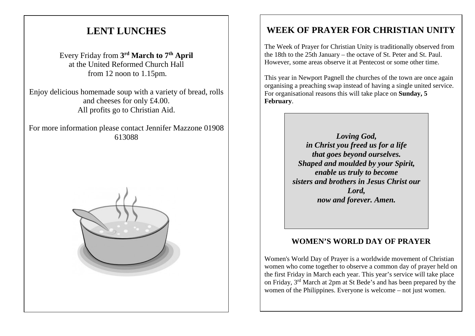# **LENT LUNCHES**

Every Friday from **3rd March to 7th April** at the United Reformed Church Hall from 12 noon to 1.15pm.

Enjoy delicious homemade soup with a variety of bread, rolls and cheeses for only £4.00. All profits go to Christian Aid.

For more information please contact Jennifer Mazzone 01908 613088



# **WEEK OF PRAYER FOR CHRISTIAN UNITY**

The Week of Prayer for Christian Unity is traditionally observed from the 18th to the 25th January – the octave of St. Peter and St. Paul. However, some areas observe it at Pentecost or some other time.

This year in Newport Pagnell the churches of the town are once again organising a preaching swap instead of having a single united service. For organisational reasons this will take place on **Sunday, 5 February**.

> *Loving God, in Christ you freed us for a life that goes beyond ourselves. Shaped and moulded by your Spirit, enable us truly to become sisters and brothers in Jesus Christ our Lord, now and forever. Amen.*

## **WOMEN'S WORLD DAY OF PRAYER**

Women's World Day of Prayer is a worldwide movement of Christian women who come together to observe a common day of prayer held on the first Friday in March each year. This year's service will take place on Friday, 3rd March at 2pm at St Bede's and has been prepared by the women of the Philippines. Everyone is welcome – not just women.